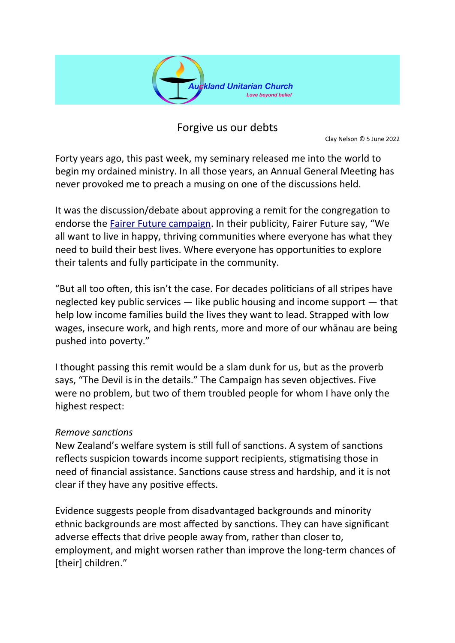

Forgive us our debts

Clay Nelson © 5 June 2022

Forty years ago, this past week, my seminary released me into the world to begin my ordained ministry. In all those years, an Annual General Meeting has never provoked me to preach a musing on one of the discussions held.

It was the discussion/debate about approving a remit for the congregation to endorse the [Fairer Future campaign](https://fairerfuture.org.nz/). In their publicity, Fairer Future say, "We all want to live in happy, thriving communities where everyone has what they need to build their best lives. Where everyone has opportunities to explore their talents and fully participate in the community.

"But all too often, this isn't the case. For decades politicians of all stripes have neglected key public services — like public housing and income support — that help low income families build the lives they want to lead. Strapped with low wages, insecure work, and high rents, more and more of our whānau are being pushed into poverty."

I thought passing this remit would be a slam dunk for us, but as the proverb says, "The Devil is in the details." The Campaign has seven objectives. Five were no problem, but two of them troubled people for whom I have only the highest respect:

## *Remove sanctions*

New Zealand's welfare system is still full of sanctions. A system of sanctions reflects suspicion towards income support recipients, stigmatising those in need of financial assistance. Sanctions cause stress and hardship, and it is not clear if they have any positive effects.

Evidence suggests people from disadvantaged backgrounds and minority ethnic backgrounds are most affected by sanctions. They can have significant adverse effects that drive people away from, rather than closer to, employment, and might worsen rather than improve the long-term chances of [their] children."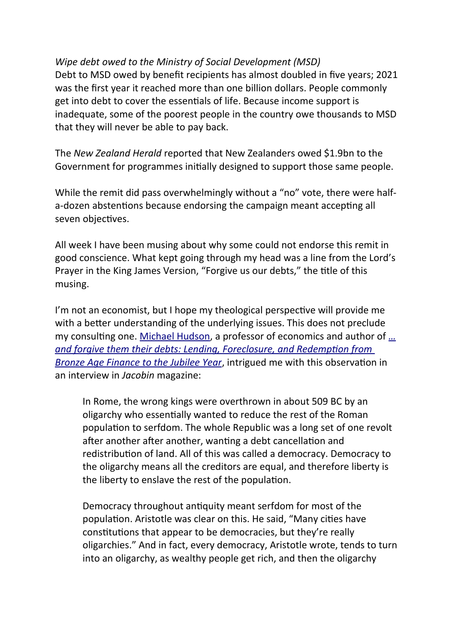*Wipe debt owed to the Ministry of Social Development (MSD)* Debt to MSD owed by benefit recipients has almost doubled in five years; 2021 was the first year it reached more than one billion dollars. People commonly get into debt to cover the essentials of life. Because income support is inadequate, some of the poorest people in the country owe thousands to MSD that they will never be able to pay back.

The *New Zealand Herald* reported that New Zealanders owed \$1.9bn to the Government for programmes initially designed to support those same people.

While the remit did pass overwhelmingly without a "no" vote, there were halfa-dozen abstentions because endorsing the campaign meant accepting all seven objectives.

All week I have been musing about why some could not endorse this remit in good conscience. What kept going through my head was a line from the Lord's Prayer in the King James Version, "Forgive us our debts," the title of this musing.

I'm not an economist, but I hope my theological perspective will provide me with a better understanding of the underlying issues. This does not preclude my consulting one. [Michael Hudson](https://michael-hudson.com/), a professor of economics and author of *[…](https://michael-hudson.com/2018/08/and-forgive-them-their-debts/) [and forgive them their debts: Lending, Foreclosure, and Redemption from](https://michael-hudson.com/2018/08/and-forgive-them-their-debts/)  [Bronze Age Finance to the Jubilee Year](https://michael-hudson.com/2018/08/and-forgive-them-their-debts/)*, intrigued me with this observation in an interview in *Jacobin* magazine:

In Rome, the wrong kings were overthrown in about 509 BC by an oligarchy who essentially wanted to reduce the rest of the Roman population to serfdom. The whole Republic was a long set of one revolt after another after another, wanting a debt cancellation and redistribution of land. All of this was called a democracy. Democracy to the oligarchy means all the creditors are equal, and therefore liberty is the liberty to enslave the rest of the population.

Democracy throughout antiquity meant serfdom for most of the population. Aristotle was clear on this. He said, "Many cities have constitutions that appear to be democracies, but they're really oligarchies." And in fact, every democracy, Aristotle wrote, tends to turn into an oligarchy, as wealthy people get rich, and then the oligarchy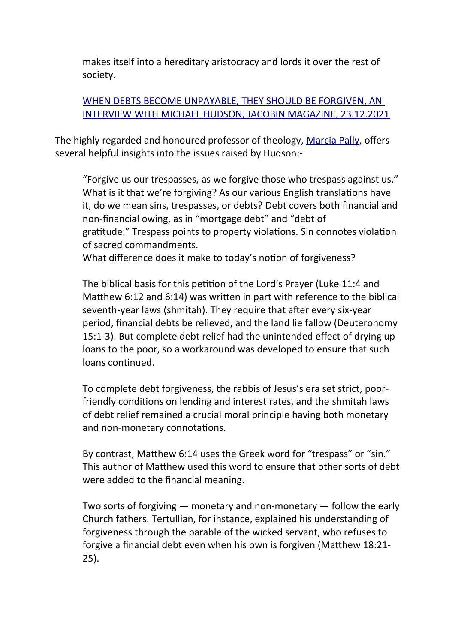makes itself into a hereditary aristocracy and lords it over the rest of society.

## [WHEN DEBTS BECOME UNPAYABLE, THEY SHOULD BE FORGIVEN, AN](https://auth.jacobinmag.com/2021/12/michael-hudson-interview-debt-forgiveness-cancellation-ancient-rome-christianity)  [INTERVIEW WITH MICHAEL HUDSON, JACOBIN MAGAZINE, 23.12.2021](https://auth.jacobinmag.com/2021/12/michael-hudson-interview-debt-forgiveness-cancellation-ancient-rome-christianity)

The highly regarded and honoured professor of theology, [Marcia Pally](https://marciapally.com/about/), offers several helpful insights into the issues raised by Hudson:-

"Forgive us our trespasses, as we forgive those who trespass against us." What is it that we're forgiving? As our various English translations have it, do we mean sins, trespasses, or debts? Debt covers both financial and non-financial owing, as in "mortgage debt" and "debt of gratitude." Trespass points to property violations. Sin connotes violation of sacred commandments.

What difference does it make to today's notion of forgiveness?

The biblical basis for this petition of the Lord's Prayer (Luke 11:4 and Matthew 6:12 and 6:14) was written in part with reference to the biblical seventh-year laws (shmitah). They require that after every six-year period, financial debts be relieved, and the land lie fallow (Deuteronomy 15:1-3). But complete debt relief had the unintended effect of drying up loans to the poor, so a workaround was developed to ensure that such loans continued.

To complete debt forgiveness, the rabbis of Jesus's era set strict, poorfriendly conditions on lending and interest rates, and the shmitah laws of debt relief remained a crucial moral principle having both monetary and non-monetary connotations.

By contrast, Matthew 6:14 uses the Greek word for "trespass" or "sin." This author of Matthew used this word to ensure that other sorts of debt were added to the financial meaning.

Two sorts of forgiving ― monetary and non-monetary ― follow the early Church fathers. Tertullian, for instance, explained his understanding of forgiveness through the parable of the wicked servant, who refuses to forgive a financial debt even when his own is forgiven (Matthew 18:21- 25).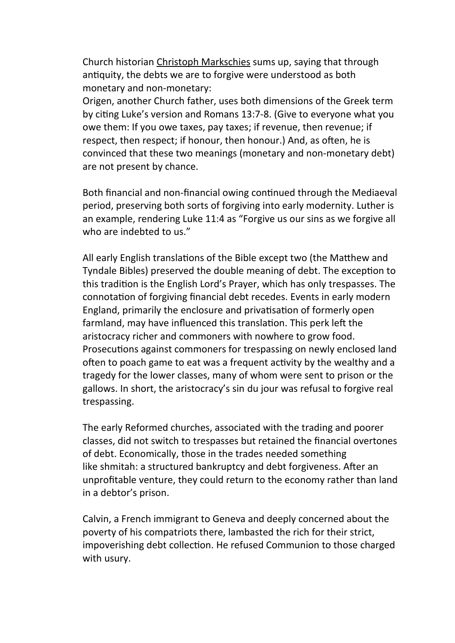Church historian Christoph Markschies sums up, saying that through antiquity, the debts we are to forgive were understood as both monetary and non-monetary:

Origen, another Church father, uses both dimensions of the Greek term by citing Luke's version and Romans 13:7-8. (Give to everyone what you owe them: If you owe taxes, pay taxes; if revenue, then revenue; if respect, then respect; if honour, then honour.) And, as often, he is convinced that these two meanings (monetary and non-monetary debt) are not present by chance.

Both financial and non-financial owing continued through the Mediaeval period, preserving both sorts of forgiving into early modernity. Luther is an example, rendering Luke 11:4 as "Forgive us our sins as we forgive all who are indebted to us."

All early English translations of the Bible except two (the Matthew and Tyndale Bibles) preserved the double meaning of debt. The exception to this tradition is the English Lord's Prayer, which has only trespasses. The connotation of forgiving financial debt recedes. Events in early modern England, primarily the enclosure and privatisation of formerly open farmland, may have influenced this translation. This perk left the aristocracy richer and commoners with nowhere to grow food. Prosecutions against commoners for trespassing on newly enclosed land often to poach game to eat was a frequent activity by the wealthy and a tragedy for the lower classes, many of whom were sent to prison or the gallows. In short, the aristocracy's sin du jour was refusal to forgive real trespassing.

The early Reformed churches, associated with the trading and poorer classes, did not switch to trespasses but retained the financial overtones of debt. Economically, those in the trades needed something like shmitah: a structured bankruptcy and debt forgiveness. After an unprofitable venture, they could return to the economy rather than land in a debtor's prison.

Calvin, a French immigrant to Geneva and deeply concerned about the poverty of his compatriots there, lambasted the rich for their strict, impoverishing debt collection. He refused Communion to those charged with usury.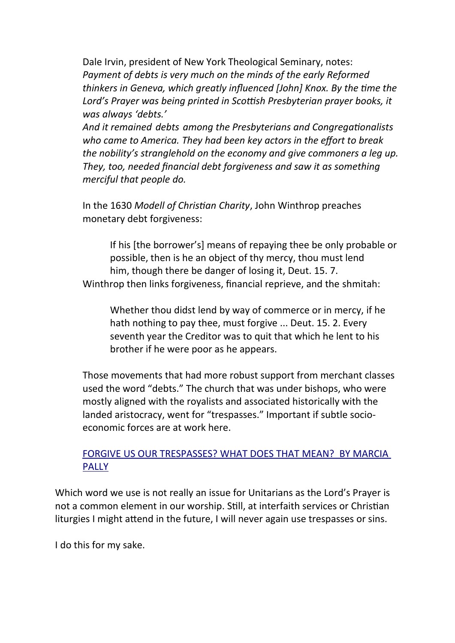Dale Irvin, president of New York Theological Seminary, notes: *Payment of debts is very much on the minds of the early Reformed thinkers in Geneva, which greatly influenced [John] Knox. By the time the Lord's Prayer was being printed in Scottish Presbyterian prayer books, it was always 'debts.'*

*And it remained debts among the Presbyterians and Congregationalists who came to America. They had been key actors in the effort to break the nobility's stranglehold on the economy and give commoners a leg up. They, too, needed financial debt forgiveness and saw it as something merciful that people do.*

In the 1630 *Modell of Christian Charity*, John Winthrop preaches monetary debt forgiveness:

If his [the borrower's] means of repaying thee be only probable or possible, then is he an object of thy mercy, thou must lend him, though there be danger of losing it, Deut. 15. 7. Winthrop then links forgiveness, financial reprieve, and the shmitah:

Whether thou didst lend by way of commerce or in mercy, if he hath nothing to pay thee, must forgive ... Deut. 15. 2. Every seventh year the Creditor was to quit that which he lent to his brother if he were poor as he appears.

Those movements that had more robust support from merchant classes used the word "debts." The church that was under bishops, who were mostly aligned with the royalists and associated historically with the landed aristocracy, went for "trespasses." Important if subtle socioeconomic forces are at work here.

## [FORGIVE US OUR TRESPASSES? WHAT DOES THAT MEAN? BY MARCIA](https://marciapally.com/2020/07/forgive-us-our-trespasses-what-does-that-mean/) [PALLY](https://marciapally.com/2020/07/forgive-us-our-trespasses-what-does-that-mean/)

Which word we use is not really an issue for Unitarians as the Lord's Prayer is not a common element in our worship. Still, at interfaith services or Christian liturgies I might attend in the future, I will never again use trespasses or sins.

I do this for my sake.